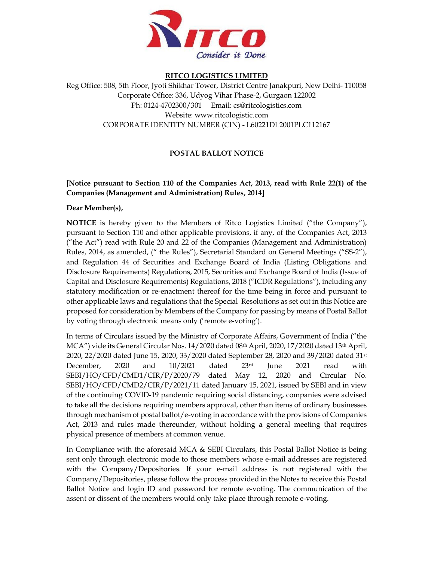

#### RITCO LOGISTICS LIMITED

Reg Office: 508, 5th Floor, Jyoti Shikhar Tower, District Centre Janakpuri, New Delhi- 110058 Corporate Office: 336, Udyog Vihar Phase-2, Gurgaon 122002 Ph: 0124-4702300/301 Email: cs@ritcologistics.com Website: www.ritcologistic.com CORPORATE IDENTITY NUMBER (CIN) - L60221DL2001PLC112167

## POSTAL BALLOT NOTICE

## [Notice pursuant to Section 110 of the Companies Act, 2013, read with Rule 22(1) of the Companies (Management and Administration) Rules, 2014]

### Dear Member(s),

NOTICE is hereby given to the Members of Ritco Logistics Limited ("the Company"), pursuant to Section 110 and other applicable provisions, if any, of the Companies Act, 2013 ("the Act") read with Rule 20 and 22 of the Companies (Management and Administration) Rules, 2014, as amended, (" the Rules"), Secretarial Standard on General Meetings ("SS-2"), and Regulation 44 of Securities and Exchange Board of India (Listing Obligations and Disclosure Requirements) Regulations, 2015, Securities and Exchange Board of India (Issue of Capital and Disclosure Requirements) Regulations, 2018 ("ICDR Regulations"), including any statutory modification or re-enactment thereof for the time being in force and pursuant to other applicable laws and regulations that the Special Resolutions as set out in this Notice are proposed for consideration by Members of the Company for passing by means of Postal Ballot by voting through electronic means only ('remote e-voting').

In terms of Circulars issued by the Ministry of Corporate Affairs, Government of India ("the MCA") vide its General Circular Nos. 14/2020 dated 08th April, 2020, 17/2020 dated 13th April, 2020, 22/2020 dated June 15, 2020, 33/2020 dated September 28, 2020 and 39/2020 dated 31st December, 2020 and  $10/2021$  dated  $23^{\rm rd}$  June 2021 read with SEBI/HO/CFD/CMD1/CIR/P/2020/79 dated May 12, 2020 and Circular No. SEBI/HO/CFD/CMD2/CIR/P/2021/11 dated January 15, 2021, issued by SEBI and in view of the continuing COVID-19 pandemic requiring social distancing, companies were advised to take all the decisions requiring members approval, other than items of ordinary businesses through mechanism of postal ballot/e-voting in accordance with the provisions of Companies Act, 2013 and rules made thereunder, without holding a general meeting that requires physical presence of members at common venue.

In Compliance with the aforesaid MCA & SEBI Circulars, this Postal Ballot Notice is being sent only through electronic mode to those members whose e-mail addresses are registered with the Company/Depositories. If your e-mail address is not registered with the Company/Depositories, please follow the process provided in the Notes to receive this Postal Ballot Notice and login ID and password for remote e-voting. The communication of the assent or dissent of the members would only take place through remote e-voting.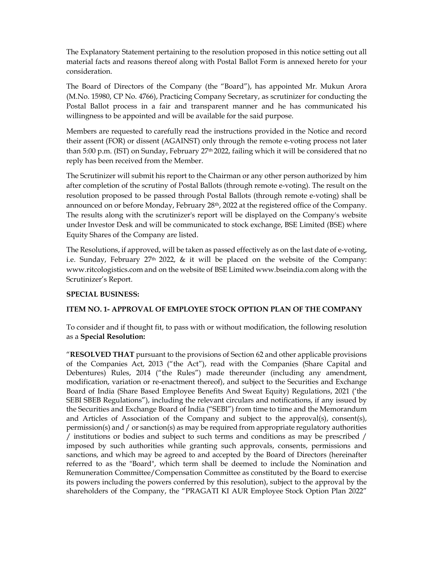The Explanatory Statement pertaining to the resolution proposed in this notice setting out all material facts and reasons thereof along with Postal Ballot Form is annexed hereto for your consideration.

The Board of Directors of the Company (the "Board"), has appointed Mr. Mukun Arora (M.No. 15980, CP No. 4766), Practicing Company Secretary, as scrutinizer for conducting the Postal Ballot process in a fair and transparent manner and he has communicated his willingness to be appointed and will be available for the said purpose.

Members are requested to carefully read the instructions provided in the Notice and record their assent (FOR) or dissent (AGAINST) only through the remote e-voting process not later than 5:00 p.m. (IST) on Sunday, February 27<sup>th</sup> 2022, failing which it will be considered that no reply has been received from the Member.

The Scrutinizer will submit his report to the Chairman or any other person authorized by him after completion of the scrutiny of Postal Ballots (through remote e-voting). The result on the resolution proposed to be passed through Postal Ballots (through remote e-voting) shall be announced on or before Monday, February 28<sup>th</sup>, 2022 at the registered office of the Company. The results along with the scrutinizer's report will be displayed on the Company's website under Investor Desk and will be communicated to stock exchange, BSE Limited (BSE) where Equity Shares of the Company are listed.

The Resolutions, if approved, will be taken as passed effectively as on the last date of e-voting, i.e. Sunday, February 27<sup>th</sup> 2022, & it will be placed on the website of the Company: www.ritcologistics.com and on the website of BSE Limited www.bseindia.com along with the Scrutinizer's Report.

### SPECIAL BUSINESS:

### ITEM NO. 1- APPROVAL OF EMPLOYEE STOCK OPTION PLAN OF THE COMPANY

To consider and if thought fit, to pass with or without modification, the following resolution as a Special Resolution:

"RESOLVED THAT pursuant to the provisions of Section 62 and other applicable provisions of the Companies Act, 2013 ("the Act"), read with the Companies (Share Capital and Debentures) Rules, 2014 ("the Rules") made thereunder (including any amendment, modification, variation or re-enactment thereof), and subject to the Securities and Exchange Board of India (Share Based Employee Benefits And Sweat Equity) Regulations, 2021 ('the SEBI SBEB Regulations"), including the relevant circulars and notifications, if any issued by the Securities and Exchange Board of India ("SEBI") from time to time and the Memorandum and Articles of Association of the Company and subject to the approval(s), consent(s), permission(s) and / or sanction(s) as may be required from appropriate regulatory authorities / institutions or bodies and subject to such terms and conditions as may be prescribed / imposed by such authorities while granting such approvals, consents, permissions and sanctions, and which may be agreed to and accepted by the Board of Directors (hereinafter referred to as the "Board", which term shall be deemed to include the Nomination and Remuneration Committee/Compensation Committee as constituted by the Board to exercise its powers including the powers conferred by this resolution), subject to the approval by the shareholders of the Company, the "PRAGATI KI AUR Employee Stock Option Plan 2022"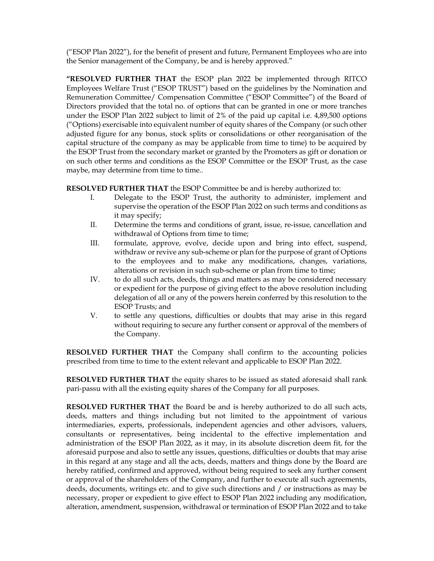("ESOP Plan 2022"), for the benefit of present and future, Permanent Employees who are into the Senior management of the Company, be and is hereby approved."

"RESOLVED FURTHER THAT the ESOP plan 2022 be implemented through RITCO Employees Welfare Trust ("ESOP TRUST") based on the guidelines by the Nomination and Remuneration Committee/ Compensation Committee ("ESOP Committee") of the Board of Directors provided that the total no. of options that can be granted in one or more tranches under the ESOP Plan 2022 subject to limit of 2% of the paid up capital i.e. 4,89,500 options ("Options) exercisable into equivalent number of equity shares of the Company (or such other adjusted figure for any bonus, stock splits or consolidations or other reorganisation of the capital structure of the company as may be applicable from time to time) to be acquired by the ESOP Trust from the secondary market or granted by the Promoters as gift or donation or on such other terms and conditions as the ESOP Committee or the ESOP Trust, as the case maybe, may determine from time to time...

RESOLVED FURTHER THAT the ESOP Committee be and is hereby authorized to:

- I. Delegate to the ESOP Trust, the authority to administer, implement and supervise the operation of the ESOP Plan 2022 on such terms and conditions as it may specify;
- II. Determine the terms and conditions of grant, issue, re-issue, cancellation and withdrawal of Options from time to time;
- III. formulate, approve, evolve, decide upon and bring into effect, suspend, withdraw or revive any sub-scheme or plan for the purpose of grant of Options to the employees and to make any modifications, changes, variations, alterations or revision in such sub-scheme or plan from time to time;
- IV. to do all such acts, deeds, things and matters as may be considered necessary or expedient for the purpose of giving effect to the above resolution including delegation of all or any of the powers herein conferred by this resolution to the ESOP Trusts; and
- V. to settle any questions, difficulties or doubts that may arise in this regard without requiring to secure any further consent or approval of the members of the Company.

RESOLVED FURTHER THAT the Company shall confirm to the accounting policies prescribed from time to time to the extent relevant and applicable to ESOP Plan 2022.

RESOLVED FURTHER THAT the equity shares to be issued as stated aforesaid shall rank pari-passu with all the existing equity shares of the Company for all purposes.

RESOLVED FURTHER THAT the Board be and is hereby authorized to do all such acts, deeds, matters and things including but not limited to the appointment of various intermediaries, experts, professionals, independent agencies and other advisors, valuers, consultants or representatives, being incidental to the effective implementation and administration of the ESOP Plan 2022, as it may, in its absolute discretion deem fit, for the aforesaid purpose and also to settle any issues, questions, difficulties or doubts that may arise in this regard at any stage and all the acts, deeds, matters and things done by the Board are hereby ratified, confirmed and approved, without being required to seek any further consent or approval of the shareholders of the Company, and further to execute all such agreements, deeds, documents, writings etc. and to give such directions and / or instructions as may be necessary, proper or expedient to give effect to ESOP Plan 2022 including any modification, alteration, amendment, suspension, withdrawal or termination of ESOP Plan 2022 and to take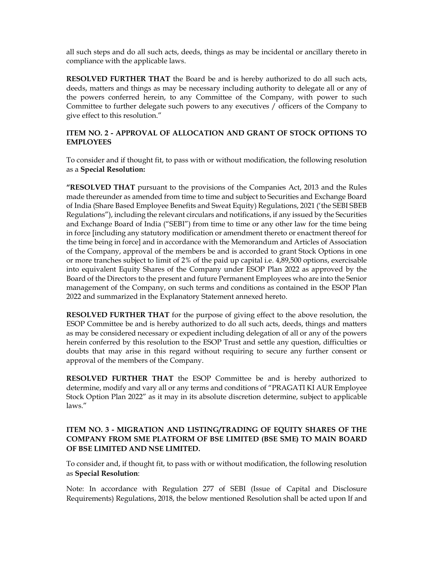all such steps and do all such acts, deeds, things as may be incidental or ancillary thereto in compliance with the applicable laws.

RESOLVED FURTHER THAT the Board be and is hereby authorized to do all such acts, deeds, matters and things as may be necessary including authority to delegate all or any of the powers conferred herein, to any Committee of the Company, with power to such Committee to further delegate such powers to any executives / officers of the Company to give effect to this resolution."

### ITEM NO. 2 - APPROVAL OF ALLOCATION AND GRANT OF STOCK OPTIONS TO EMPLOYEES

To consider and if thought fit, to pass with or without modification, the following resolution as a Special Resolution:

"RESOLVED THAT pursuant to the provisions of the Companies Act, 2013 and the Rules made thereunder as amended from time to time and subject to Securities and Exchange Board of India (Share Based Employee Benefits and Sweat Equity) Regulations, 2021 ('the SEBI SBEB Regulations"), including the relevant circulars and notifications, if any issued by the Securities and Exchange Board of India ("SEBI") from time to time or any other law for the time being in force [including any statutory modification or amendment thereto or enactment thereof for the time being in force] and in accordance with the Memorandum and Articles of Association of the Company, approval of the members be and is accorded to grant Stock Options in one or more tranches subject to limit of 2% of the paid up capital i.e. 4,89,500 options, exercisable into equivalent Equity Shares of the Company under ESOP Plan 2022 as approved by the Board of the Directors to the present and future Permanent Employees who are into the Senior management of the Company, on such terms and conditions as contained in the ESOP Plan 2022 and summarized in the Explanatory Statement annexed hereto.

RESOLVED FURTHER THAT for the purpose of giving effect to the above resolution, the ESOP Committee be and is hereby authorized to do all such acts, deeds, things and matters as may be considered necessary or expedient including delegation of all or any of the powers herein conferred by this resolution to the ESOP Trust and settle any question, difficulties or doubts that may arise in this regard without requiring to secure any further consent or approval of the members of the Company.

RESOLVED FURTHER THAT the ESOP Committee be and is hereby authorized to determine, modify and vary all or any terms and conditions of "PRAGATI KI AUR Employee Stock Option Plan 2022" as it may in its absolute discretion determine, subject to applicable laws."

## ITEM NO. 3 - MIGRATION AND LISTING/TRADING OF EQUITY SHARES OF THE COMPANY FROM SME PLATFORM OF BSE LIMITED (BSE SME) TO MAIN BOARD OF BSE LIMITED AND NSE LIMITED.

To consider and, if thought fit, to pass with or without modification, the following resolution as Special Resolution:

Note: In accordance with Regulation 277 of SEBI (Issue of Capital and Disclosure Requirements) Regulations, 2018, the below mentioned Resolution shall be acted upon If and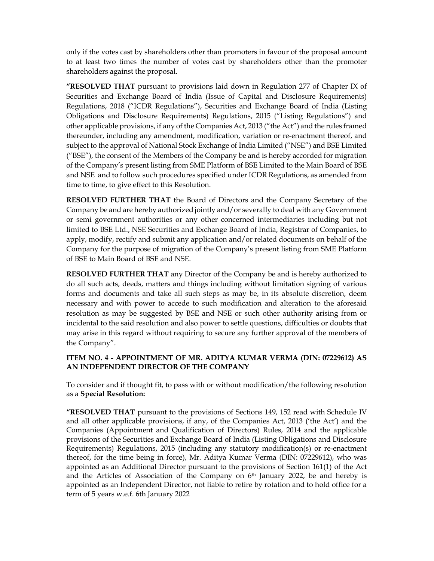only if the votes cast by shareholders other than promoters in favour of the proposal amount to at least two times the number of votes cast by shareholders other than the promoter shareholders against the proposal.

"RESOLVED THAT pursuant to provisions laid down in Regulation 277 of Chapter IX of Securities and Exchange Board of India (Issue of Capital and Disclosure Requirements) Regulations, 2018 ("ICDR Regulations"), Securities and Exchange Board of India (Listing Obligations and Disclosure Requirements) Regulations, 2015 ("Listing Regulations") and other applicable provisions, if any of the Companies Act, 2013 ("the Act") and the rules framed thereunder, including any amendment, modification, variation or re-enactment thereof, and subject to the approval of National Stock Exchange of India Limited ("NSE") and BSE Limited ("BSE"), the consent of the Members of the Company be and is hereby accorded for migration of the Company's present listing from SME Platform of BSE Limited to the Main Board of BSE and NSE and to follow such procedures specified under ICDR Regulations, as amended from time to time, to give effect to this Resolution.

RESOLVED FURTHER THAT the Board of Directors and the Company Secretary of the Company be and are hereby authorized jointly and/or severally to deal with any Government or semi government authorities or any other concerned intermediaries including but not limited to BSE Ltd., NSE Securities and Exchange Board of India, Registrar of Companies, to apply, modify, rectify and submit any application and/or related documents on behalf of the Company for the purpose of migration of the Company's present listing from SME Platform of BSE to Main Board of BSE and NSE.

RESOLVED FURTHER THAT any Director of the Company be and is hereby authorized to do all such acts, deeds, matters and things including without limitation signing of various forms and documents and take all such steps as may be, in its absolute discretion, deem necessary and with power to accede to such modification and alteration to the aforesaid resolution as may be suggested by BSE and NSE or such other authority arising from or incidental to the said resolution and also power to settle questions, difficulties or doubts that may arise in this regard without requiring to secure any further approval of the members of the Company".

### ITEM NO. 4 - APPOINTMENT OF MR. ADITYA KUMAR VERMA (DIN: 07229612) AS AN INDEPENDENT DIRECTOR OF THE COMPANY

To consider and if thought fit, to pass with or without modification/the following resolution as a Special Resolution:

"RESOLVED THAT pursuant to the provisions of Sections 149, 152 read with Schedule IV and all other applicable provisions, if any, of the Companies Act, 2013 ('the Act') and the Companies (Appointment and Qualification of Directors) Rules, 2014 and the applicable provisions of the Securities and Exchange Board of India (Listing Obligations and Disclosure Requirements) Regulations, 2015 (including any statutory modification(s) or re-enactment thereof, for the time being in force), Mr. Aditya Kumar Verma (DIN: 07229612), who was appointed as an Additional Director pursuant to the provisions of Section 161(1) of the Act and the Articles of Association of the Company on  $6<sup>th</sup>$  January 2022, be and hereby is appointed as an Independent Director, not liable to retire by rotation and to hold office for a term of 5 years w.e.f. 6th January 2022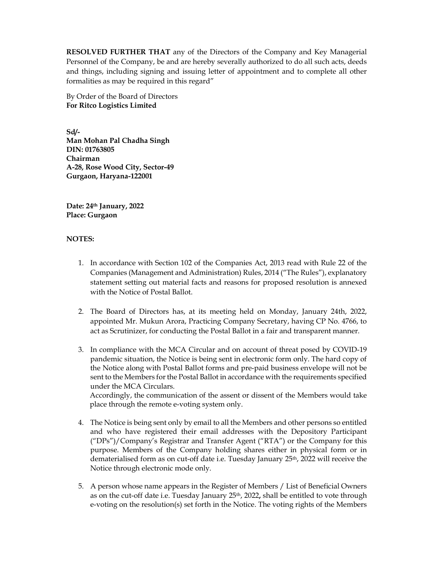RESOLVED FURTHER THAT any of the Directors of the Company and Key Managerial Personnel of the Company, be and are hereby severally authorized to do all such acts, deeds and things, including signing and issuing letter of appointment and to complete all other formalities as may be required in this regard"

By Order of the Board of Directors For Ritco Logistics Limited

Sd/- Man Mohan Pal Chadha Singh DIN: 01763805 Chairman A-28, Rose Wood City, Sector-49 Gurgaon, Haryana-122001

Date: 24th January, 2022 Place: Gurgaon

### NOTES:

- 1. In accordance with Section 102 of the Companies Act, 2013 read with Rule 22 of the Companies (Management and Administration) Rules, 2014 ("The Rules"), explanatory statement setting out material facts and reasons for proposed resolution is annexed with the Notice of Postal Ballot.
- 2. The Board of Directors has, at its meeting held on Monday, January 24th, 2022, appointed Mr. Mukun Arora, Practicing Company Secretary, having CP No. 4766, to act as Scrutinizer, for conducting the Postal Ballot in a fair and transparent manner.
- 3. In compliance with the MCA Circular and on account of threat posed by COVID-19 pandemic situation, the Notice is being sent in electronic form only. The hard copy of the Notice along with Postal Ballot forms and pre-paid business envelope will not be sent to the Members for the Postal Ballot in accordance with the requirements specified under the MCA Circulars. Accordingly, the communication of the assent or dissent of the Members would take

place through the remote e-voting system only. 4. The Notice is being sent only by email to all the Members and other persons so entitled

- and who have registered their email addresses with the Depository Participant ("DPs")/Company's Registrar and Transfer Agent ("RTA") or the Company for this purpose. Members of the Company holding shares either in physical form or in dematerialised form as on cut-off date i.e. Tuesday January 25th, 2022 will receive the Notice through electronic mode only.
- 5. A person whose name appears in the Register of Members / List of Beneficial Owners as on the cut-off date i.e. Tuesday January  $25<sup>th</sup>$ , 2022, shall be entitled to vote through e-voting on the resolution(s) set forth in the Notice. The voting rights of the Members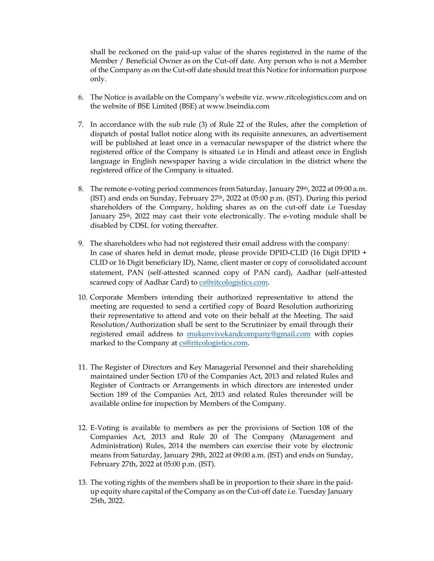shall be reckoned on the paid-up value of the shares registered in the name of the Member / Beneficial Owner as on the Cut-off date. Any person who is not a Member of the Company as on the Cut-off date should treat this Notice for information purpose only.

- 6. The Notice is available on the Company's website viz. www.ritcologistics.com and on the website of BSE Limited (BSE) at www.bseindia.com
- 7. In accordance with the sub rule (3) of Rule 22 of the Rules, after the completion of dispatch of postal ballot notice along with its requisite annexures, an advertisement will be published at least once in a vernacular newspaper of the district where the registered office of the Company is situated i.e in Hindi and atleast once in English language in English newspaper having a wide circulation in the district where the registered office of the Company is situated.
- 8. The remote e-voting period commences from Saturday, January 29th, 2022 at 09:00 a.m. (IST) and ends on Sunday, February 27th, 2022 at 05:00 p.m. (IST). During this period shareholders of the Company, holding shares as on the cut-off date i.e Tuesday January 25th, 2022 may cast their vote electronically. The e-voting module shall be disabled by CDSL for voting thereafter.
- 9. The shareholders who had not registered their email address with the company: In case of shares held in demat mode, please provide DPID-CLID (16 Digit DPID + CLID or 16 Digit beneficiary ID), Name, client master or copy of consolidated account statement, PAN (self-attested scanned copy of PAN card), Aadhar (self-attested scanned copy of Aadhar Card) to cs@ritcologistics.com.
- 10. Corporate Members intending their authorized representative to attend the meeting are requested to send a certified copy of Board Resolution authorizing their representative to attend and vote on their behalf at the Meeting. The said Resolution/Authorization shall be sent to the Scrutinizer by email through their registered email address to **mukunvivekandcompany@gmail.com** with copies marked to the Company at cs@ritcologistics.com.
- 11. The Register of Directors and Key Managerial Personnel and their shareholding maintained under Section 170 of the Companies Act, 2013 and related Rules and Register of Contracts or Arrangements in which directors are interested under Section 189 of the Companies Act, 2013 and related Rules thereunder will be available online for inspection by Members of the Company.
- 12. E-Voting is available to members as per the provisions of Section 108 of the Companies Act, 2013 and Rule 20 of The Company (Management and Administration) Rules, 2014 the members can exercise their vote by electronic means from Saturday, January 29th, 2022 at 09:00 a.m. (IST) and ends on Sunday, February 27th, 2022 at 05:00 p.m. (IST).
- 13. The voting rights of the members shall be in proportion to their share in the paidup equity share capital of the Company as on the Cut-off date i.e. Tuesday January 25th, 2022.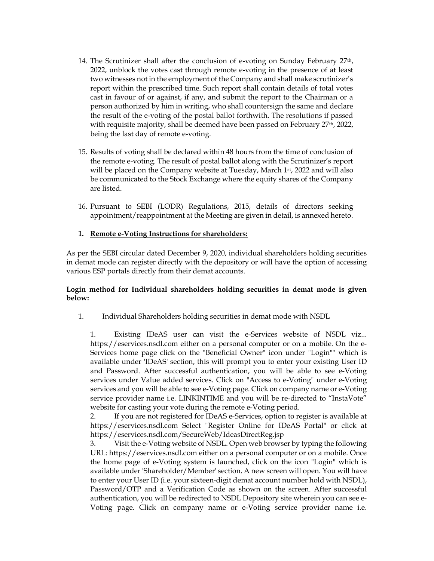- 14. The Scrutinizer shall after the conclusion of e-voting on Sunday February 27th, 2022, unblock the votes cast through remote e-voting in the presence of at least two witnesses not in the employment of the Company and shall make scrutinizer's report within the prescribed time. Such report shall contain details of total votes cast in favour of or against, if any, and submit the report to the Chairman or a person authorized by him in writing, who shall countersign the same and declare the result of the e-voting of the postal ballot forthwith. The resolutions if passed with requisite majority, shall be deemed have been passed on February 27<sup>th</sup>, 2022, being the last day of remote e-voting.
- 15. Results of voting shall be declared within 48 hours from the time of conclusion of the remote e-voting. The result of postal ballot along with the Scrutinizer's report will be placed on the Company website at Tuesday, March 1<sup>st</sup>, 2022 and will also be communicated to the Stock Exchange where the equity shares of the Company are listed.
- 16. Pursuant to SEBI (LODR) Regulations, 2015, details of directors seeking appointment/reappointment at the Meeting are given in detail, is annexed hereto.

### 1. Remote e-Voting Instructions for shareholders:

As per the SEBI circular dated December 9, 2020, individual shareholders holding securities in demat mode can register directly with the depository or will have the option of accessing various ESP portals directly from their demat accounts.

### Login method for Individual shareholders holding securities in demat mode is given below:

1. Individual Shareholders holding securities in demat mode with NSDL

1. Existing IDeAS user can visit the e-Services website of NSDL viz... https://eservices.nsdl.com either on a personal computer or on a mobile. On the e-Services home page click on the "Beneficial Owner" icon under "Login"" which is available under 'IDeAS' section, this will prompt you to enter your existing User ID and Password. After successful authentication, you will be able to see e-Voting services under Value added services. Click on "Access to e-Voting" under e-Voting services and you will be able to see e-Voting page. Click on company name or e-Voting service provider name i.e. LINKINTIME and you will be re-directed to "InstaVote" website for casting your vote during the remote e-Voting period.

2. If you are not registered for IDeAS e-Services, option to register is available at https://eservices.nsdl.com Select "Register Online for IDeAS Portal" or click at https://eservices.nsdl.com/SecureWeb/IdeasDirectReg.jsp

Visit the e-Voting website of NSDL. Open web browser by typing the following URL: https://eservices.nsdl.com either on a personal computer or on a mobile. Once the home page of e-Voting system is launched, click on the icon "Login" which is available under 'Shareholder/Member' section. A new screen will open. You will have to enter your User ID (i.e. your sixteen-digit demat account number hold with NSDL), Password/OTP and a Verification Code as shown on the screen. After successful authentication, you will be redirected to NSDL Depository site wherein you can see e-Voting page. Click on company name or e-Voting service provider name i.e.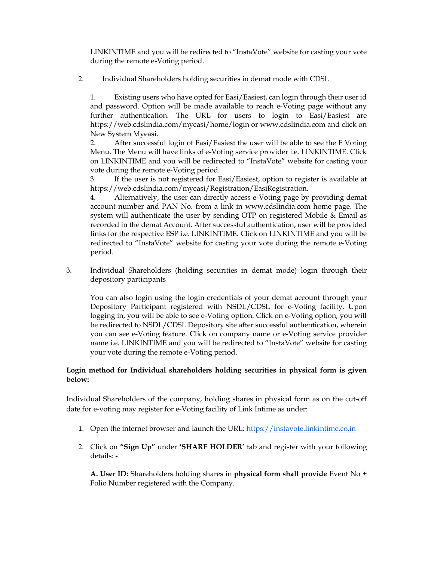LINKINTIME and you will be redirected to "InstaVote" website for casting your vote during the remote e-Voting period.

2. Individual Shareholders holding securities in demat mode with CDSL

1. Existing users who have opted for Easi/Easiest, can login through their user id and password. Option will be made available to reach e-Voting page without any further authentication. The URL for users to login to Easi/Easiest are https://web.cdslindia.com/myeasi/home/login or www.cdslindia.com and click on New System Myeasi.

2. After successful login of Easi/Easiest the user will be able to see the E Voting Menu. The Menu will have links of e-Voting service provider i.e. LINKINTIME. Click on LINKINTIME and you will be redirected to "InstaVote" website for casting your vote during the remote e-Voting period.

3. If the user is not registered for Easi/Easiest, option to register is available at https://web.cdslindia.com/myeasi/Registration/EasiRegistration.

4. Alternatively, the user can directly access e-Voting page by providing demat account number and PAN No. from a link in www.cdslindia.com home page. The system will authenticate the user by sending OTP on registered Mobile & Email as recorded in the demat Account. After successful authentication, user will be provided links for the respective ESP i.e. LINKINTIME. Click on LINKINTIME and you will be redirected to "InstaVote" website for casting your vote during the remote e-Voting period.

3. Individual Shareholders (holding securities in demat mode) login through their depository participants

You can also login using the login credentials of your demat account through your Depository Participant registered with NSDL/CDSL for e-Voting facility. Upon logging in, you will be able to see e-Voting option. Click on e-Voting option, you will be redirected to NSDL/CDSL Depository site after successful authentication, wherein you can see e-Voting feature. Click on company name or e-Voting service provider name i.e. LINKINTIME and you will be redirected to "InstaVote" website for casting your vote during the remote e-Voting period.

## Login method for Individual shareholders holding securities in physical form is given below:

Individual Shareholders of the company, holding shares in physical form as on the cut-off date for e-voting may register for e-Voting facility of Link Intime as under:

- 1. Open the internet browser and launch the URL: https://instavote.linkintime.co.in
- 2. Click on "Sign Up" under 'SHARE HOLDER' tab and register with your following details: -

A. User ID: Shareholders holding shares in physical form shall provide Event No + Folio Number registered with the Company.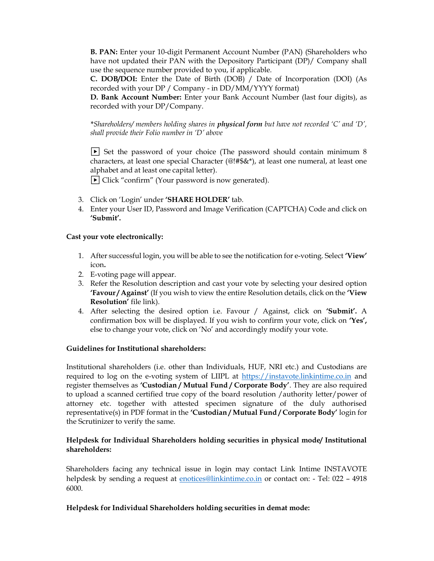B. PAN: Enter your 10-digit Permanent Account Number (PAN) (Shareholders who have not updated their PAN with the Depository Participant (DP)/ Company shall use the sequence number provided to you, if applicable.

C. DOB/DOI: Enter the Date of Birth (DOB) / Date of Incorporation (DOI) (As recorded with your DP / Company - in DD/MM/YYYY format)

D. Bank Account Number: Enter your Bank Account Number (last four digits), as recorded with your DP/Company.

\*Shareholders/ members holding shares in physical form but have not recorded 'C' and 'D', shall provide their Folio number in 'D' above

 $\blacktriangleright$  Set the password of your choice (The password should contain minimum 8 characters, at least one special Character (@!#\$&\*), at least one numeral, at least one alphabet and at least one capital letter).

 $\triangleright$  Click "confirm" (Your password is now generated).

- 3. Click on 'Login' under 'SHARE HOLDER' tab.
- 4. Enter your User ID, Password and Image Verification (CAPTCHA) Code and click on 'Submit'.

### Cast your vote electronically:

- 1. After successful login, you will be able to see the notification for e-voting. Select 'View' icon.
- 2. E-voting page will appear.
- 3. Refer the Resolution description and cast your vote by selecting your desired option 'Favour / Against' (If you wish to view the entire Resolution details, click on the 'View Resolution' file link).
- 4. After selecting the desired option i.e. Favour / Against, click on 'Submit'. A confirmation box will be displayed. If you wish to confirm your vote, click on 'Yes', else to change your vote, click on 'No' and accordingly modify your vote.

### Guidelines for Institutional shareholders:

Institutional shareholders (i.e. other than Individuals, HUF, NRI etc.) and Custodians are required to log on the e-voting system of LIIPL at https://instavote.linkintime.co.in and register themselves as 'Custodian / Mutual Fund / Corporate Body'. They are also required to upload a scanned certified true copy of the board resolution /authority letter/power of attorney etc. together with attested specimen signature of the duly authorised representative(s) in PDF format in the 'Custodian / Mutual Fund / Corporate Body' login for the Scrutinizer to verify the same.

### Helpdesk for Individual Shareholders holding securities in physical mode/ Institutional shareholders:

Shareholders facing any technical issue in login may contact Link Intime INSTAVOTE helpdesk by sending a request at enotices@linkintime.co.in or contact on: - Tel: 022 - 4918 6000.

### Helpdesk for Individual Shareholders holding securities in demat mode: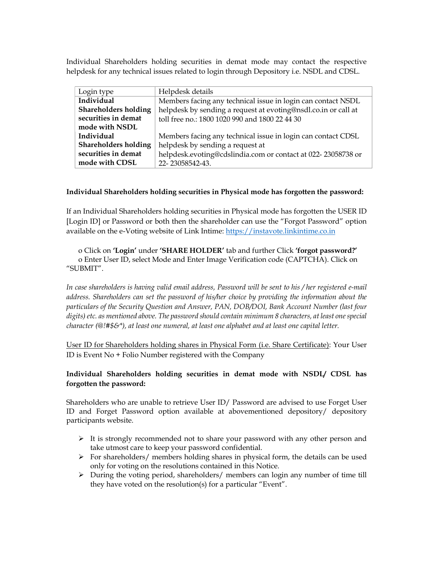Individual Shareholders holding securities in demat mode may contact the respective helpdesk for any technical issues related to login through Depository i.e. NSDL and CDSL.

| Login type           | Helpdesk details                                               |
|----------------------|----------------------------------------------------------------|
| Individual           | Members facing any technical issue in login can contact NSDL   |
| Shareholders holding | helpdesk by sending a request at evoting@nsdl.co.in or call at |
| securities in demat  | toll free no.: 1800 1020 990 and 1800 22 44 30                 |
| mode with NSDL       |                                                                |
| Individual           | Members facing any technical issue in login can contact CDSL   |
| Shareholders holding | helpdesk by sending a request at                               |
| securities in demat  | helpdesk.evoting@cdslindia.com or contact at 022-23058738 or   |
| mode with CDSL       | 22-23058542-43.                                                |

### Individual Shareholders holding securities in Physical mode has forgotten the password:

If an Individual Shareholders holding securities in Physical mode has forgotten the USER ID [Login ID] or Password or both then the shareholder can use the "Forgot Password" option available on the e-Voting website of Link Intime: https://instavote.linkintime.co.in

o Click on 'Login' under 'SHARE HOLDER' tab and further Click 'forgot password?' o Enter User ID, select Mode and Enter Image Verification code (CAPTCHA). Click on "SUBMIT".

In case shareholders is having valid email address, Password will be sent to his / her registered e-mail address. Shareholders can set the password of his/her choice by providing the information about the particulars of the Security Question and Answer, PAN, DOB/DOI, Bank Account Number (last four digits) etc. as mentioned above. The password should contain minimum 8 characters, at least one special character ( $@!$ #\$&\*), at least one numeral, at least one alphabet and at least one capital letter.

User ID for Shareholders holding shares in Physical Form (i.e. Share Certificate): Your User ID is Event No + Folio Number registered with the Company

## Individual Shareholders holding securities in demat mode with NSDL/ CDSL has forgotten the password:

Shareholders who are unable to retrieve User ID/ Password are advised to use Forget User ID and Forget Password option available at abovementioned depository/ depository participants website.

- $\triangleright$  It is strongly recommended not to share your password with any other person and take utmost care to keep your password confidential.
- $\triangleright$  For shareholders/ members holding shares in physical form, the details can be used only for voting on the resolutions contained in this Notice.
- During the voting period, shareholders/ members can login any number of time till they have voted on the resolution(s) for a particular "Event".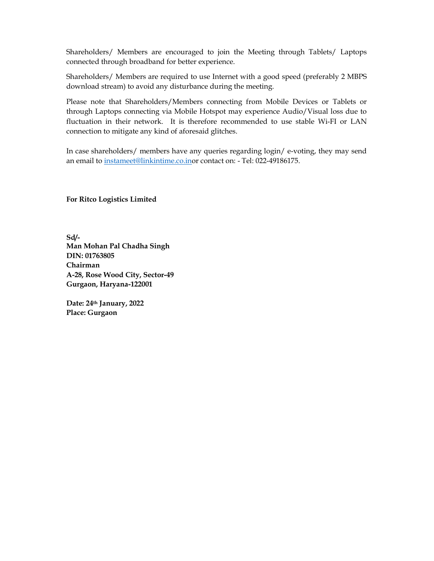Shareholders/ Members are encouraged to join the Meeting through Tablets/ Laptops connected through broadband for better experience.

Shareholders/ Members are required to use Internet with a good speed (preferably 2 MBPS download stream) to avoid any disturbance during the meeting.

Please note that Shareholders/Members connecting from Mobile Devices or Tablets or through Laptops connecting via Mobile Hotspot may experience Audio/Visual loss due to fluctuation in their network. It is therefore recommended to use stable Wi-FI or LAN connection to mitigate any kind of aforesaid glitches.

In case shareholders/ members have any queries regarding login/ e-voting, they may send an email to instameet@linkintime.co.inor contact on: - Tel: 022-49186175.

For Ritco Logistics Limited

Sd/- Man Mohan Pal Chadha Singh DIN: 01763805 Chairman A-28, Rose Wood City, Sector-49 Gurgaon, Haryana-122001

Date: 24th January, 2022 Place: Gurgaon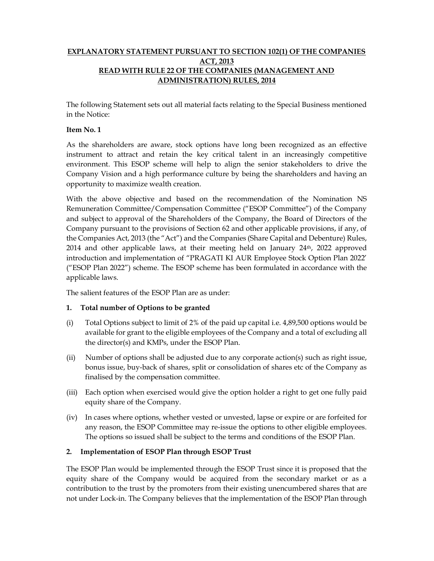## EXPLANATORY STATEMENT PURSUANT TO SECTION 102(1) OF THE COMPANIES ACT, 2013 READ WITH RULE 22 OF THE COMPANIES (MANAGEMENT AND ADMINISTRATION) RULES, 2014

The following Statement sets out all material facts relating to the Special Business mentioned in the Notice:

#### Item No. 1

As the shareholders are aware, stock options have long been recognized as an effective instrument to attract and retain the key critical talent in an increasingly competitive environment. This ESOP scheme will help to align the senior stakeholders to drive the Company Vision and a high performance culture by being the shareholders and having an opportunity to maximize wealth creation.

With the above objective and based on the recommendation of the Nomination NS Remuneration Committee/Compensation Committee ("ESOP Committee") of the Company and subject to approval of the Shareholders of the Company, the Board of Directors of the Company pursuant to the provisions of Section 62 and other applicable provisions, if any, of the Companies Act, 2013 (the "Act") and the Companies (Share Capital and Debenture) Rules, 2014 and other applicable laws, at their meeting held on January  $24<sup>th</sup>$ , 2022 approved introduction and implementation of "PRAGATI KI AUR Employee Stock Option Plan 2022' ("ESOP Plan 2022") scheme. The ESOP scheme has been formulated in accordance with the applicable laws.

The salient features of the ESOP Plan are as under:

### 1. Total number of Options to be granted

- (i) Total Options subject to limit of 2% of the paid up capital i.e. 4,89,500 options would be available for grant to the eligible employees of the Company and a total of excluding all the director(s) and KMPs, under the ESOP Plan.
- (ii) Number of options shall be adjusted due to any corporate action(s) such as right issue, bonus issue, buy-back of shares, split or consolidation of shares etc of the Company as finalised by the compensation committee.
- (iii) Each option when exercised would give the option holder a right to get one fully paid equity share of the Company.
- (iv) In cases where options, whether vested or unvested, lapse or expire or are forfeited for any reason, the ESOP Committee may re-issue the options to other eligible employees. The options so issued shall be subject to the terms and conditions of the ESOP Plan.

### 2. Implementation of ESOP Plan through ESOP Trust

The ESOP Plan would be implemented through the ESOP Trust since it is proposed that the equity share of the Company would be acquired from the secondary market or as a contribution to the trust by the promoters from their existing unencumbered shares that are not under Lock-in. The Company believes that the implementation of the ESOP Plan through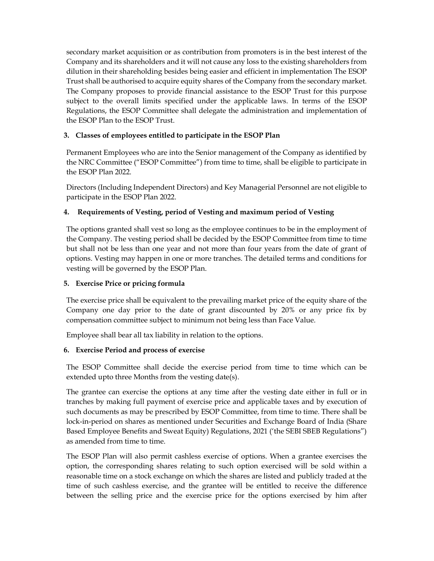secondary market acquisition or as contribution from promoters is in the best interest of the Company and its shareholders and it will not cause any loss to the existing shareholders from dilution in their shareholding besides being easier and efficient in implementation The ESOP Trust shall be authorised to acquire equity shares of the Company from the secondary market. The Company proposes to provide financial assistance to the ESOP Trust for this purpose subject to the overall limits specified under the applicable laws. In terms of the ESOP Regulations, the ESOP Committee shall delegate the administration and implementation of the ESOP Plan to the ESOP Trust.

## 3. Classes of employees entitled to participate in the ESOP Plan

Permanent Employees who are into the Senior management of the Company as identified by the NRC Committee ("ESOP Committee") from time to time, shall be eligible to participate in the ESOP Plan 2022.

Directors (Including Independent Directors) and Key Managerial Personnel are not eligible to participate in the ESOP Plan 2022.

## 4. Requirements of Vesting, period of Vesting and maximum period of Vesting

The options granted shall vest so long as the employee continues to be in the employment of the Company. The vesting period shall be decided by the ESOP Committee from time to time but shall not be less than one year and not more than four years from the date of grant of options. Vesting may happen in one or more tranches. The detailed terms and conditions for vesting will be governed by the ESOP Plan.

## 5. Exercise Price or pricing formula

The exercise price shall be equivalent to the prevailing market price of the equity share of the Company one day prior to the date of grant discounted by 20% or any price fix by compensation committee subject to minimum not being less than Face Value.

Employee shall bear all tax liability in relation to the options.

# 6. Exercise Period and process of exercise

The ESOP Committee shall decide the exercise period from time to time which can be extended upto three Months from the vesting date(s).

The grantee can exercise the options at any time after the vesting date either in full or in tranches by making full payment of exercise price and applicable taxes and by execution of such documents as may be prescribed by ESOP Committee, from time to time. There shall be lock-in-period on shares as mentioned under Securities and Exchange Board of India (Share Based Employee Benefits and Sweat Equity) Regulations, 2021 ('the SEBI SBEB Regulations") as amended from time to time.

The ESOP Plan will also permit cashless exercise of options. When a grantee exercises the option, the corresponding shares relating to such option exercised will be sold within a reasonable time on a stock exchange on which the shares are listed and publicly traded at the time of such cashless exercise, and the grantee will be entitled to receive the difference between the selling price and the exercise price for the options exercised by him after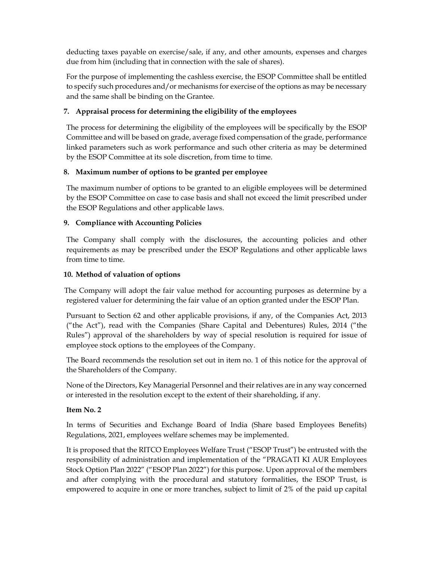deducting taxes payable on exercise/sale, if any, and other amounts, expenses and charges due from him (including that in connection with the sale of shares).

For the purpose of implementing the cashless exercise, the ESOP Committee shall be entitled to specify such procedures and/or mechanisms for exercise of the options as may be necessary and the same shall be binding on the Grantee.

## 7. Appraisal process for determining the eligibility of the employees

The process for determining the eligibility of the employees will be specifically by the ESOP Committee and will be based on grade, average fixed compensation of the grade, performance linked parameters such as work performance and such other criteria as may be determined by the ESOP Committee at its sole discretion, from time to time.

## 8. Maximum number of options to be granted per employee

The maximum number of options to be granted to an eligible employees will be determined by the ESOP Committee on case to case basis and shall not exceed the limit prescribed under the ESOP Regulations and other applicable laws.

## 9. Compliance with Accounting Policies

The Company shall comply with the disclosures, the accounting policies and other requirements as may be prescribed under the ESOP Regulations and other applicable laws from time to time.

## 10. Method of valuation of options

 The Company will adopt the fair value method for accounting purposes as determine by a registered valuer for determining the fair value of an option granted under the ESOP Plan.

Pursuant to Section 62 and other applicable provisions, if any, of the Companies Act, 2013 ("the Act"), read with the Companies (Share Capital and Debentures) Rules, 2014 ("the Rules") approval of the shareholders by way of special resolution is required for issue of employee stock options to the employees of the Company.

The Board recommends the resolution set out in item no. 1 of this notice for the approval of the Shareholders of the Company.

None of the Directors, Key Managerial Personnel and their relatives are in any way concerned or interested in the resolution except to the extent of their shareholding, if any.

## Item No. 2

In terms of Securities and Exchange Board of India (Share based Employees Benefits) Regulations, 2021, employees welfare schemes may be implemented.

It is proposed that the RITCO Employees Welfare Trust ("ESOP Trust") be entrusted with the responsibility of administration and implementation of the "PRAGATI KI AUR Employees Stock Option Plan 2022" ("ESOP Plan 2022") for this purpose. Upon approval of the members and after complying with the procedural and statutory formalities, the ESOP Trust, is empowered to acquire in one or more tranches, subject to limit of 2% of the paid up capital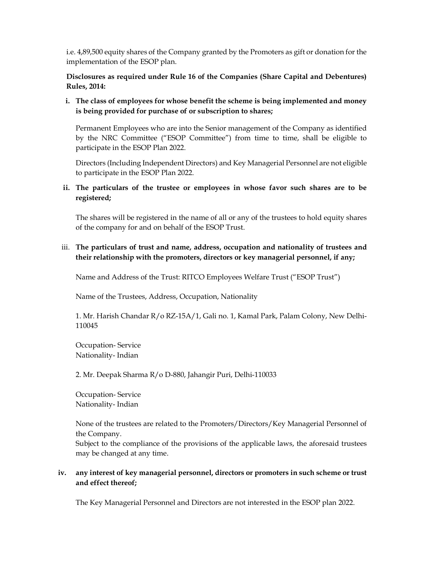i.e. 4,89,500 equity shares of the Company granted by the Promoters as gift or donation for the implementation of the ESOP plan.

Disclosures as required under Rule 16 of the Companies (Share Capital and Debentures) Rules, 2014:

i. The class of employees for whose benefit the scheme is being implemented and money is being provided for purchase of or subscription to shares;

Permanent Employees who are into the Senior management of the Company as identified by the NRC Committee ("ESOP Committee") from time to time, shall be eligible to participate in the ESOP Plan 2022.

Directors (Including Independent Directors) and Key Managerial Personnel are not eligible to participate in the ESOP Plan 2022.

### ii. The particulars of the trustee or employees in whose favor such shares are to be registered;

The shares will be registered in the name of all or any of the trustees to hold equity shares of the company for and on behalf of the ESOP Trust.

### iii. The particulars of trust and name, address, occupation and nationality of trustees and their relationship with the promoters, directors or key managerial personnel, if any;

Name and Address of the Trust: RITCO Employees Welfare Trust ("ESOP Trust")

Name of the Trustees, Address, Occupation, Nationality

1. Mr. Harish Chandar R/o RZ-15A/1, Gali no. 1, Kamal Park, Palam Colony, New Delhi-110045

Occupation- Service Nationality- Indian

2. Mr. Deepak Sharma R/o D-880, Jahangir Puri, Delhi-110033

Occupation- Service Nationality- Indian

None of the trustees are related to the Promoters/Directors/Key Managerial Personnel of the Company.

Subject to the compliance of the provisions of the applicable laws, the aforesaid trustees may be changed at any time.

### iv. any interest of key managerial personnel, directors or promoters in such scheme or trust and effect thereof;

The Key Managerial Personnel and Directors are not interested in the ESOP plan 2022.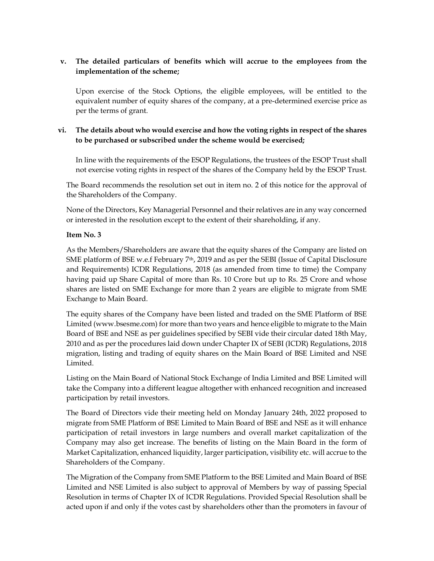## v. The detailed particulars of benefits which will accrue to the employees from the implementation of the scheme;

Upon exercise of the Stock Options, the eligible employees, will be entitled to the equivalent number of equity shares of the company, at a pre-determined exercise price as per the terms of grant.

## vi. The details about who would exercise and how the voting rights in respect of the shares to be purchased or subscribed under the scheme would be exercised;

In line with the requirements of the ESOP Regulations, the trustees of the ESOP Trust shall not exercise voting rights in respect of the shares of the Company held by the ESOP Trust.

The Board recommends the resolution set out in item no. 2 of this notice for the approval of the Shareholders of the Company.

None of the Directors, Key Managerial Personnel and their relatives are in any way concerned or interested in the resolution except to the extent of their shareholding, if any.

### Item No. 3

As the Members/Shareholders are aware that the equity shares of the Company are listed on SME platform of BSE w.e.f February 7<sup>th</sup>, 2019 and as per the SEBI (Issue of Capital Disclosure and Requirements) ICDR Regulations, 2018 (as amended from time to time) the Company having paid up Share Capital of more than Rs. 10 Crore but up to Rs. 25 Crore and whose shares are listed on SME Exchange for more than 2 years are eligible to migrate from SME Exchange to Main Board.

The equity shares of the Company have been listed and traded on the SME Platform of BSE Limited (www.bsesme.com) for more than two years and hence eligible to migrate to the Main Board of BSE and NSE as per guidelines specified by SEBI vide their circular dated 18th May, 2010 and as per the procedures laid down under Chapter IX of SEBI (ICDR) Regulations, 2018 migration, listing and trading of equity shares on the Main Board of BSE Limited and NSE Limited.

Listing on the Main Board of National Stock Exchange of India Limited and BSE Limited will take the Company into a different league altogether with enhanced recognition and increased participation by retail investors.

The Board of Directors vide their meeting held on Monday January 24th, 2022 proposed to migrate from SME Platform of BSE Limited to Main Board of BSE and NSE as it will enhance participation of retail investors in large numbers and overall market capitalization of the Company may also get increase. The benefits of listing on the Main Board in the form of Market Capitalization, enhanced liquidity, larger participation, visibility etc. will accrue to the Shareholders of the Company.

The Migration of the Company from SME Platform to the BSE Limited and Main Board of BSE Limited and NSE Limited is also subject to approval of Members by way of passing Special Resolution in terms of Chapter IX of ICDR Regulations. Provided Special Resolution shall be acted upon if and only if the votes cast by shareholders other than the promoters in favour of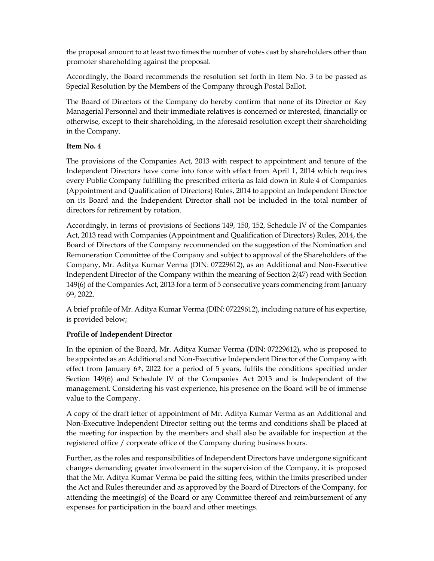the proposal amount to at least two times the number of votes cast by shareholders other than promoter shareholding against the proposal.

Accordingly, the Board recommends the resolution set forth in Item No. 3 to be passed as Special Resolution by the Members of the Company through Postal Ballot.

The Board of Directors of the Company do hereby confirm that none of its Director or Key Managerial Personnel and their immediate relatives is concerned or interested, financially or otherwise, except to their shareholding, in the aforesaid resolution except their shareholding in the Company.

## Item No. 4

The provisions of the Companies Act, 2013 with respect to appointment and tenure of the Independent Directors have come into force with effect from April 1, 2014 which requires every Public Company fulfilling the prescribed criteria as laid down in Rule 4 of Companies (Appointment and Qualification of Directors) Rules, 2014 to appoint an Independent Director on its Board and the Independent Director shall not be included in the total number of directors for retirement by rotation.

Accordingly, in terms of provisions of Sections 149, 150, 152, Schedule IV of the Companies Act, 2013 read with Companies (Appointment and Qualification of Directors) Rules, 2014, the Board of Directors of the Company recommended on the suggestion of the Nomination and Remuneration Committee of the Company and subject to approval of the Shareholders of the Company, Mr. Aditya Kumar Verma (DIN: 07229612), as an Additional and Non-Executive Independent Director of the Company within the meaning of Section 2(47) read with Section 149(6) of the Companies Act, 2013 for a term of 5 consecutive years commencing from January 6th, 2022.

A brief profile of Mr. Aditya Kumar Verma (DIN: 07229612), including nature of his expertise, is provided below;

### Profile of Independent Director

In the opinion of the Board, Mr. Aditya Kumar Verma (DIN: 07229612), who is proposed to be appointed as an Additional and Non-Executive Independent Director of the Company with effect from January  $6<sup>th</sup>$ , 2022 for a period of 5 years, fulfils the conditions specified under Section 149(6) and Schedule IV of the Companies Act 2013 and is Independent of the management. Considering his vast experience, his presence on the Board will be of immense value to the Company.

A copy of the draft letter of appointment of Mr. Aditya Kumar Verma as an Additional and Non-Executive Independent Director setting out the terms and conditions shall be placed at the meeting for inspection by the members and shall also be available for inspection at the registered office / corporate office of the Company during business hours.

Further, as the roles and responsibilities of Independent Directors have undergone significant changes demanding greater involvement in the supervision of the Company, it is proposed that the Mr. Aditya Kumar Verma be paid the sitting fees, within the limits prescribed under the Act and Rules thereunder and as approved by the Board of Directors of the Company, for attending the meeting(s) of the Board or any Committee thereof and reimbursement of any expenses for participation in the board and other meetings.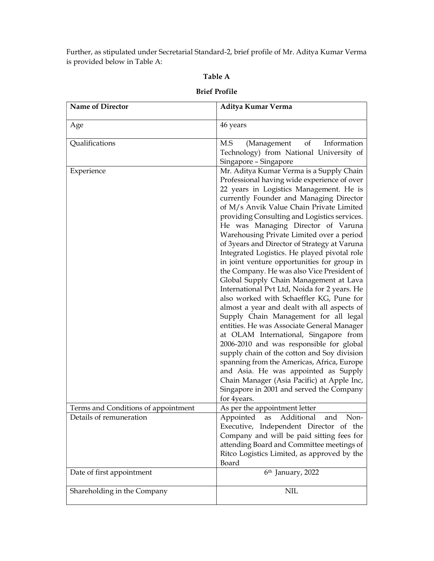Further, as stipulated under Secretarial Standard-2, brief profile of Mr. Aditya Kumar Verma is provided below in Table A:

#### Table A

# Name of Director **Aditya Kumar Verma** Age and  $\vert$  46 years Qualifications M.S (Management of Information Technology) from National University of Singapore – Singapore Experience **Mr.** Aditya Kumar Verma is a Supply Chain Professional having wide experience of over 22 years in Logistics Management. He is currently Founder and Managing Director of M/s Anvik Value Chain Private Limited providing Consulting and Logistics services. He was Managing Director of Varuna Warehousing Private Limited over a period of 3years and Director of Strategy at Varuna Integrated Logistics. He played pivotal role in joint venture opportunities for group in the Company. He was also Vice President of Global Supply Chain Management at Lava International Pvt Ltd, Noida for 2 years. He also worked with Schaeffler KG, Pune for almost a year and dealt with all aspects of Supply Chain Management for all legal entities. He was Associate General Manager at OLAM International, Singapore from 2006-2010 and was responsible for global supply chain of the cotton and Soy division spanning from the Americas, Africa, Europe and Asia. He was appointed as Supply Chain Manager (Asia Pacific) at Apple Inc, Singapore in 2001 and served the Company for 4years. Terms and Conditions of appointment  $\vert$  As per the appointment letter Details of remuneration **Appointed** as Additional and Non-Executive, Independent Director of the Company and will be paid sitting fees for attending Board and Committee meetings of Ritco Logistics Limited, as approved by the Board Date of first appointment 6<sup>th</sup> January, 2022 Shareholding in the Company NIL

#### Brief Profile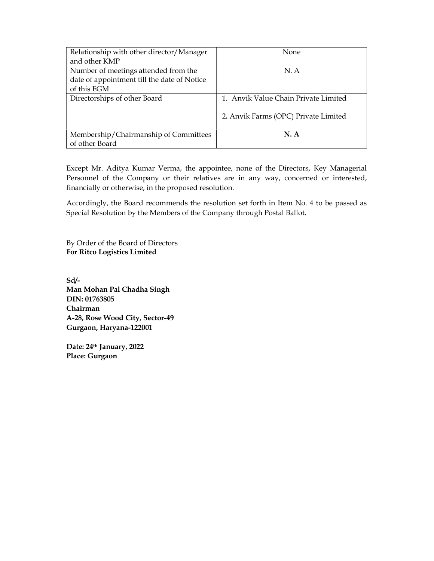| Relationship with other director/Manager    | <b>None</b>                          |  |
|---------------------------------------------|--------------------------------------|--|
| and other KMP                               |                                      |  |
| Number of meetings attended from the        | N. A                                 |  |
| date of appointment till the date of Notice |                                      |  |
| of this EGM                                 |                                      |  |
| Directorships of other Board                | 1. Anvik Value Chain Private Limited |  |
|                                             |                                      |  |
|                                             | 2. Anvik Farms (OPC) Private Limited |  |
|                                             |                                      |  |
| Membership/Chairmanship of Committees       | <b>N.A</b>                           |  |
| of other Board                              |                                      |  |

Except Mr. Aditya Kumar Verma, the appointee, none of the Directors, Key Managerial Personnel of the Company or their relatives are in any way, concerned or interested, financially or otherwise, in the proposed resolution.

Accordingly, the Board recommends the resolution set forth in Item No. 4 to be passed as Special Resolution by the Members of the Company through Postal Ballot.

By Order of the Board of Directors For Ritco Logistics Limited

Sd/- Man Mohan Pal Chadha Singh DIN: 01763805 Chairman A-28, Rose Wood City, Sector-49 Gurgaon, Haryana-122001

Date: 24th January, 2022 Place: Gurgaon